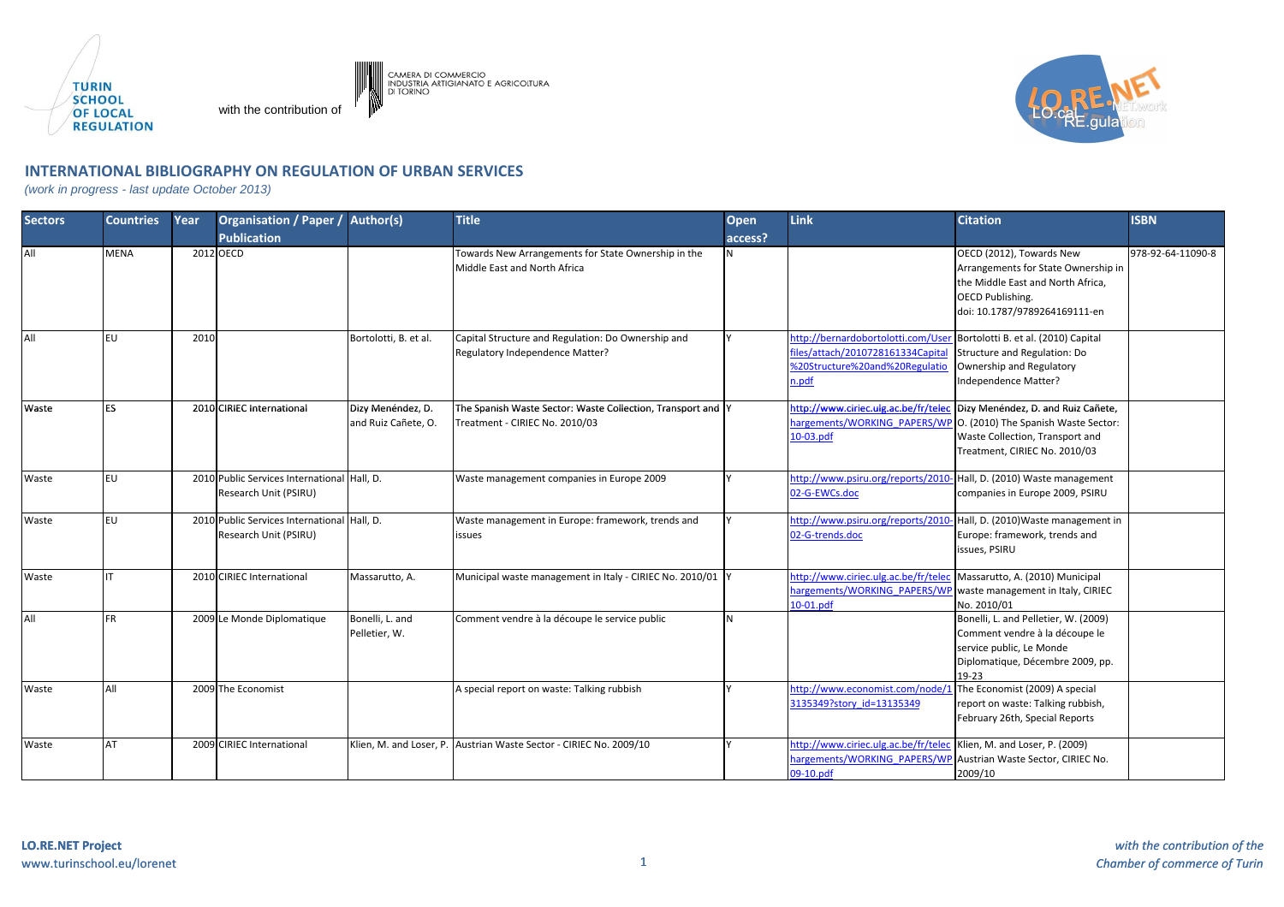

with the contribution of

Camera di Commercio<br>Industria artigianato e agricoltura<br>di Torino



## **INTERNATIONAL BIBLIOGRAPHY ON REGULATION OF URBAN SERVICES**

(work in progress - last update October 2013)

| <b>Sectors</b> | <b>Countries</b> | Year | <b>Organisation / Paper /</b><br><b>Publication</b>                  | Author(s)                                | <b>Title</b>                                                                                  | <b>Open</b><br>access? | <b>Link</b>                                                                                                        | <b>Citation</b>                                                                                                                                                  | <b>ISBN</b>       |
|----------------|------------------|------|----------------------------------------------------------------------|------------------------------------------|-----------------------------------------------------------------------------------------------|------------------------|--------------------------------------------------------------------------------------------------------------------|------------------------------------------------------------------------------------------------------------------------------------------------------------------|-------------------|
| All            | MENA             |      | 2012 OECD                                                            |                                          | Towards New Arrangements for State Ownership in the<br>Middle East and North Africa           |                        |                                                                                                                    | OECD (2012), Towards New<br>Arrangements for State Ownership in<br>the Middle East and North Africa,<br><b>OECD Publishing.</b><br>doi: 10.1787/9789264169111-en | 978-92-64-11090-8 |
| All            | FU.              | 2010 |                                                                      | Bortolotti, B. et al.                    | Capital Structure and Regulation: Do Ownership and<br>Regulatory Independence Matter?         |                        | http://bernardobortolotti.com/User<br>files/attach/2010728161334Capital<br>%20Structure%20and%20Regulatio<br>n.pdf | Bortolotti B. et al. (2010) Capital<br>Structure and Regulation: Do<br>Ownership and Regulatory<br>Independence Matter?                                          |                   |
| Waste          | <b>FS</b>        |      | 2010 CIRIEC International                                            | Dizy Menéndez, D.<br>and Ruiz Cañete, O. | The Spanish Waste Sector: Waste Collection, Transport and Y<br>Treatment - CIRIEC No. 2010/03 |                        | http://www.ciriec.ulg.ac.be/fr/telec<br>hargements/WORKING PAPERS/WP<br>10-03.pdf                                  | Dizy Menéndez, D. and Ruiz Cañete,<br>O. (2010) The Spanish Waste Sector:<br>Waste Collection, Transport and<br>Treatment, CIRIEC No. 2010/03                    |                   |
| Waste          | FU.              |      | 2010 Public Services International Hall, D.<br>Research Unit (PSIRU) |                                          | Waste management companies in Europe 2009                                                     |                        | http://www.psiru.org/reports/2010-<br>02-G-EWCs.doc                                                                | Hall, D. (2010) Waste management<br>companies in Europe 2009, PSIRU                                                                                              |                   |
| Waste          | FU.              |      | 2010 Public Services International Hall, D.<br>Research Unit (PSIRU) |                                          | Waste management in Europe: framework, trends and<br>issues                                   |                        | http://www.psiru.org/reports/2010<br>02-G-trends.doc                                                               | Hall, D. (2010) Waste management in<br>Europe: framework, trends and<br>issues, PSIRU                                                                            |                   |
| Waste          |                  |      | 2010 CIRIEC International                                            | Massarutto, A.                           | Municipal waste management in Italy - CIRIEC No. 2010/01 Y                                    |                        | http://www.ciriec.ulg.ac.be/fr/telec<br>hargements/WORKING PAPERS/WP<br>$10-01.pdf$                                | Massarutto, A. (2010) Municipal<br>waste management in Italy, CIRIEC<br>No. 2010/01                                                                              |                   |
| All            | <b>FR</b>        |      | 2009 Le Monde Diplomatique                                           | Bonelli, L. and<br>Pelletier, W.         | Comment vendre à la découpe le service public                                                 | N                      |                                                                                                                    | Bonelli, L. and Pelletier, W. (2009)<br>Comment vendre à la découpe le<br>service public, Le Monde<br>Diplomatique, Décembre 2009, pp.<br>19-23                  |                   |
| Waste          | All              |      | 2009 The Economist                                                   |                                          | A special report on waste: Talking rubbish                                                    |                        | http://www.economist.com/node/1<br>3135349?story_id=13135349                                                       | The Economist (2009) A special<br>report on waste: Talking rubbish,<br>February 26th, Special Reports                                                            |                   |
| Waste          | AТ               |      | 2009 CIRIEC International                                            |                                          | Klien, M. and Loser, P. Austrian Waste Sector - CIRIEC No. 2009/10                            |                        | http://www.ciriec.ulg.ac.be/fr/teleo<br>hargements/WORKING PAPERS/WP<br>09-10.pdf                                  | Klien, M. and Loser, P. (2009)<br>Austrian Waste Sector, CIRIEC No.<br>2009/10                                                                                   |                   |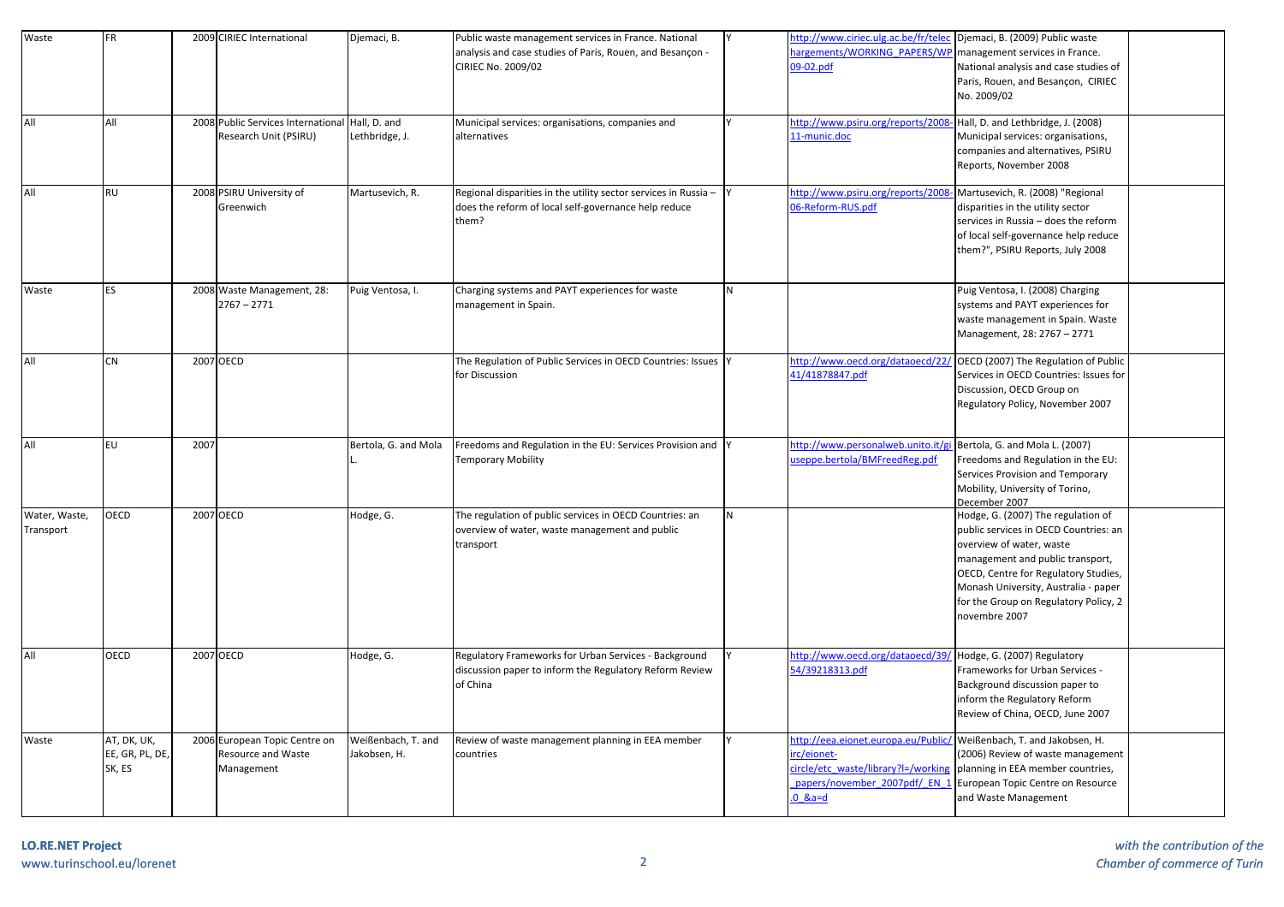| Waste                      | <b>FR</b>                                |      | 2009 CIRIEC International                                                | Djemaci, B.                        | Public waste management services in France. National<br>analysis and case studies of Paris, Rouen, and Besançon -<br>CIRIEC No. 2009/02 |   | ttp://www.ciriec.ulg.ac.be/fr/telec<br>argements/WORKING PAPERS/WP<br>09-02.pdf                                                    | Djemaci, B. (2009) Public waste<br>management services in France.<br>National analysis and case studies of<br>Paris, Rouen, and Besançon, CIRIEC<br>No. 2009/02                                                                                                                       |  |
|----------------------------|------------------------------------------|------|--------------------------------------------------------------------------|------------------------------------|-----------------------------------------------------------------------------------------------------------------------------------------|---|------------------------------------------------------------------------------------------------------------------------------------|---------------------------------------------------------------------------------------------------------------------------------------------------------------------------------------------------------------------------------------------------------------------------------------|--|
| All                        | All                                      |      | 2008 Public Services International Hall, D. and<br>Research Unit (PSIRU) | Lethbridge, J.                     | Municipal services: organisations, companies and<br>alternatives                                                                        |   | http://www.psiru.org/reports/2008<br>11-munic.doc                                                                                  | Hall, D. and Lethbridge, J. (2008)<br>Municipal services: organisations,<br>companies and alternatives, PSIRU<br>Reports, November 2008                                                                                                                                               |  |
| All                        | RU                                       |      | 2008 PSIRU University of<br>Greenwich                                    | Martusevich, R.                    | Regional disparities in the utility sector services in Russia -<br>does the reform of local self-governance help reduce<br>them?        |   | ttp://www.psiru.org/reports/2008<br>6-Reform-RUS.pdf                                                                               | Martusevich, R. (2008) "Regional<br>disparities in the utility sector<br>services in Russia - does the reform<br>of local self-governance help reduce<br>them?", PSIRU Reports, July 2008                                                                                             |  |
| Waste                      | ES                                       |      | 2008 Waste Management, 28:<br>$2767 - 2771$                              | Puig Ventosa, I.                   | Charging systems and PAYT experiences for waste<br>management in Spain.                                                                 | N |                                                                                                                                    | Puig Ventosa, I. (2008) Charging<br>systems and PAYT experiences for<br>waste management in Spain. Waste<br>Management, 28: 2767 - 2771                                                                                                                                               |  |
| All                        | CN                                       |      | 2007 OECD                                                                |                                    | The Regulation of Public Services in OECD Countries: Issues<br>for Discussion                                                           |   | nttp://www.oecd.org/dataoecd/22,<br>11/41878847.pdf                                                                                | OECD (2007) The Regulation of Public<br>Services in OECD Countries: Issues for<br>Discussion, OECD Group on<br>Regulatory Policy, November 2007                                                                                                                                       |  |
| All                        | EU                                       | 2007 |                                                                          | Bertola, G. and Mola               | Freedoms and Regulation in the EU: Services Provision and<br><b>Temporary Mobility</b>                                                  |   | nttp://www.personalweb.unito.it/g<br>iseppe.bertola/BMFreedReg.pdf                                                                 | Bertola, G. and Mola L. (2007)<br>Freedoms and Regulation in the EU:<br>Services Provision and Temporary<br>Mobility, University of Torino,<br>December 2007                                                                                                                          |  |
| Water, Waste,<br>Transport | OECD                                     |      | 2007 OECD                                                                | Hodge, G.                          | The regulation of public services in OECD Countries: an<br>overview of water, waste management and public<br>transport                  | N |                                                                                                                                    | Hodge, G. (2007) The regulation of<br>public services in OECD Countries: an<br>overview of water, waste<br>management and public transport,<br>OECD, Centre for Regulatory Studies,<br>Monash University, Australia - paper<br>for the Group on Regulatory Policy, 2<br>novembre 2007 |  |
| All                        | OECD                                     |      | 2007 OECD                                                                | Hodge, G.                          | Regulatory Frameworks for Urban Services - Background<br>discussion paper to inform the Regulatory Reform Review<br>of China            |   | http://www.oecd.org/dataoecd/39<br>4/39218313.pdf                                                                                  | Hodge, G. (2007) Regulatory<br>Frameworks for Urban Services -<br>Background discussion paper to<br>inform the Regulatory Reform<br>Review of China, OECD, June 2007                                                                                                                  |  |
| Waste                      | AT, DK, UK,<br>EE, GR, PL, DE,<br>SK, ES |      | 2006 European Topic Centre on<br>Resource and Waste<br>Management        | Weißenbach, T. and<br>Jakobsen, H. | Review of waste management planning in EEA member<br>countries                                                                          |   | ttp://eea.eionet.europa.eu/Public<br>rc/eionet-<br>ircle/etc_waste/library?l=/working<br>papers/november 2007pdf/ EN 1<br>$0$ &a=d | Weißenbach, T. and Jakobsen, H.<br>(2006) Review of waste management<br>planning in EEA member countries,<br>European Topic Centre on Resource<br>and Waste Management                                                                                                                |  |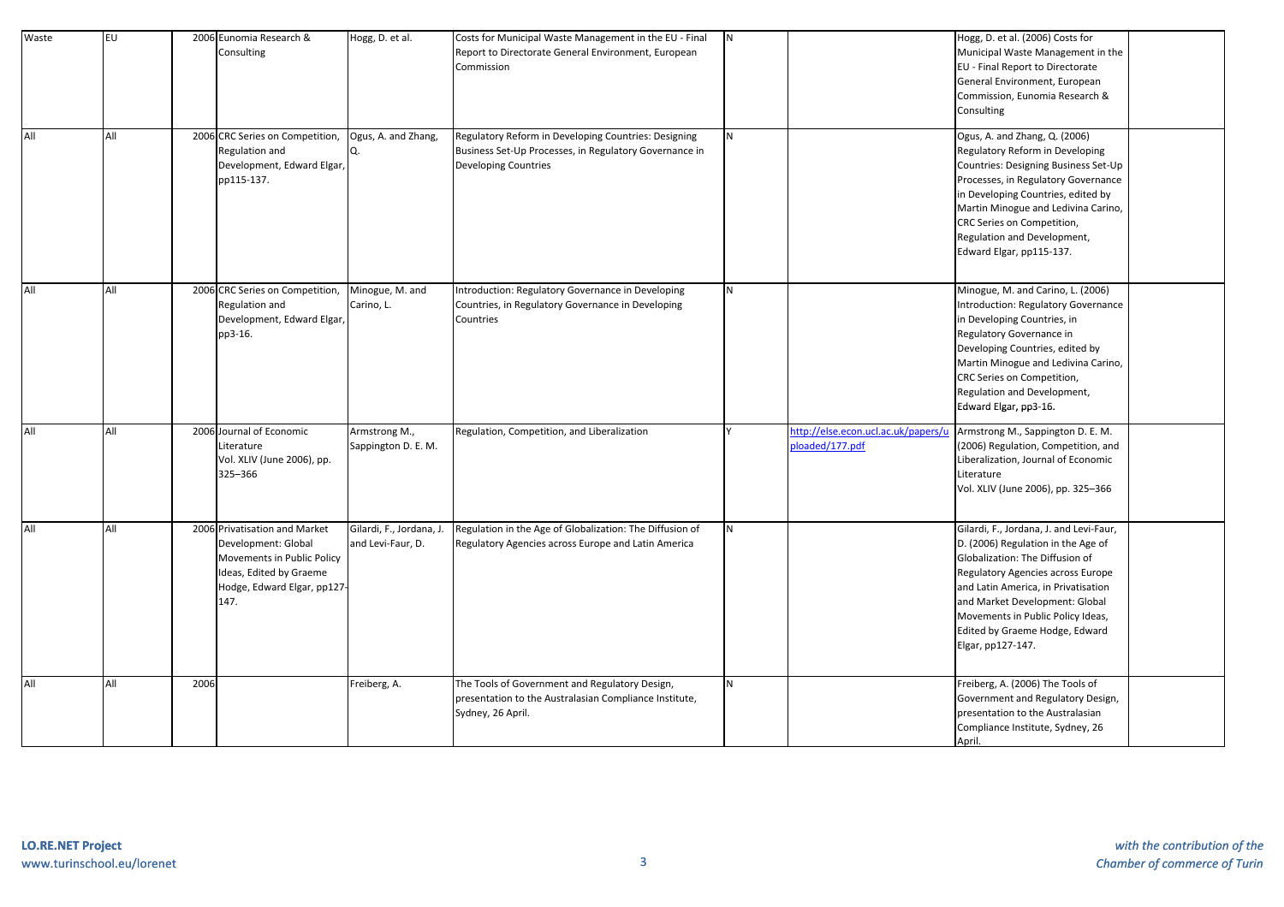| Waste | <b>EU</b> |      | 2006 Eunomia Research &<br>Consulting                                                                                                               | Hogg, D. et al.                               | Costs for Municipal Waste Management in the EU - Final<br>Report to Directorate General Environment, European<br>Commission                   | N              |                                                        | Hogg, D. et al. (2006) Costs for<br>Municipal Waste Management in the<br>EU - Final Report to Directorate<br>General Environment, European<br>Commission, Eunomia Research &<br>Consulting                                                                                                                                 |  |
|-------|-----------|------|-----------------------------------------------------------------------------------------------------------------------------------------------------|-----------------------------------------------|-----------------------------------------------------------------------------------------------------------------------------------------------|----------------|--------------------------------------------------------|----------------------------------------------------------------------------------------------------------------------------------------------------------------------------------------------------------------------------------------------------------------------------------------------------------------------------|--|
| All   | All       |      | 2006 CRC Series on Competition,<br>Regulation and<br>Development, Edward Elgar,<br>pp115-137.                                                       | Ogus, A. and Zhang,                           | Regulatory Reform in Developing Countries: Designing<br>Business Set-Up Processes, in Regulatory Governance in<br><b>Developing Countries</b> | N <sub>1</sub> |                                                        | Ogus, A. and Zhang, Q. (2006)<br>Regulatory Reform in Developing<br>Countries: Designing Business Set-Up<br>Processes, in Regulatory Governance<br>in Developing Countries, edited by<br>Martin Minogue and Ledivina Carino,<br>CRC Series on Competition,<br>Regulation and Development,<br>Edward Elgar, pp115-137.      |  |
| All   | All       |      | 2006 CRC Series on Competition,<br>Regulation and<br>Development, Edward Elgar,<br>pp3-16.                                                          | Minogue, M. and<br>Carino, L.                 | Introduction: Regulatory Governance in Developing<br>Countries, in Regulatory Governance in Developing<br>Countries                           | <b>N</b>       |                                                        | Minogue, M. and Carino, L. (2006)<br>Introduction: Regulatory Governance<br>in Developing Countries, in<br>Regulatory Governance in<br>Developing Countries, edited by<br>Martin Minogue and Ledivina Carino,<br>CRC Series on Competition,<br>Regulation and Development,<br>Edward Elgar, pp3-16.                        |  |
| All   | All       |      | 2006 Journal of Economic<br>Literature<br>Vol. XLIV (June 2006), pp.<br>325-366                                                                     | Armstrong M.,<br>Sappington D. E. M.          | Regulation, Competition, and Liberalization                                                                                                   |                | http://else.econ.ucl.ac.uk/papers/u<br>bloaded/177.pdf | Armstrong M., Sappington D. E. M.<br>(2006) Regulation, Competition, and<br>Liberalization, Journal of Economic<br>Literature<br>Vol. XLIV (June 2006), pp. 325-366                                                                                                                                                        |  |
| All   | All       |      | 2006 Privatisation and Market<br>Development: Global<br>Movements in Public Policy<br>Ideas, Edited by Graeme<br>Hodge, Edward Elgar, pp127<br>147. | Gilardi, F., Jordana, J.<br>and Levi-Faur, D. | Regulation in the Age of Globalization: The Diffusion of<br>Regulatory Agencies across Europe and Latin America                               | I <sub>N</sub> |                                                        | Gilardi, F., Jordana, J. and Levi-Faur,<br>D. (2006) Regulation in the Age of<br>Globalization: The Diffusion of<br>Regulatory Agencies across Europe<br>and Latin America, in Privatisation<br>and Market Development: Global<br>Movements in Public Policy Ideas,<br>Edited by Graeme Hodge, Edward<br>Elgar, pp127-147. |  |
| All   | All       | 2006 |                                                                                                                                                     | Freiberg, A.                                  | The Tools of Government and Regulatory Design,<br>presentation to the Australasian Compliance Institute,<br>Sydney, 26 April.                 | <b>N</b>       |                                                        | Freiberg, A. (2006) The Tools of<br>Government and Regulatory Design,<br>presentation to the Australasian<br>Compliance Institute, Sydney, 26<br>April.                                                                                                                                                                    |  |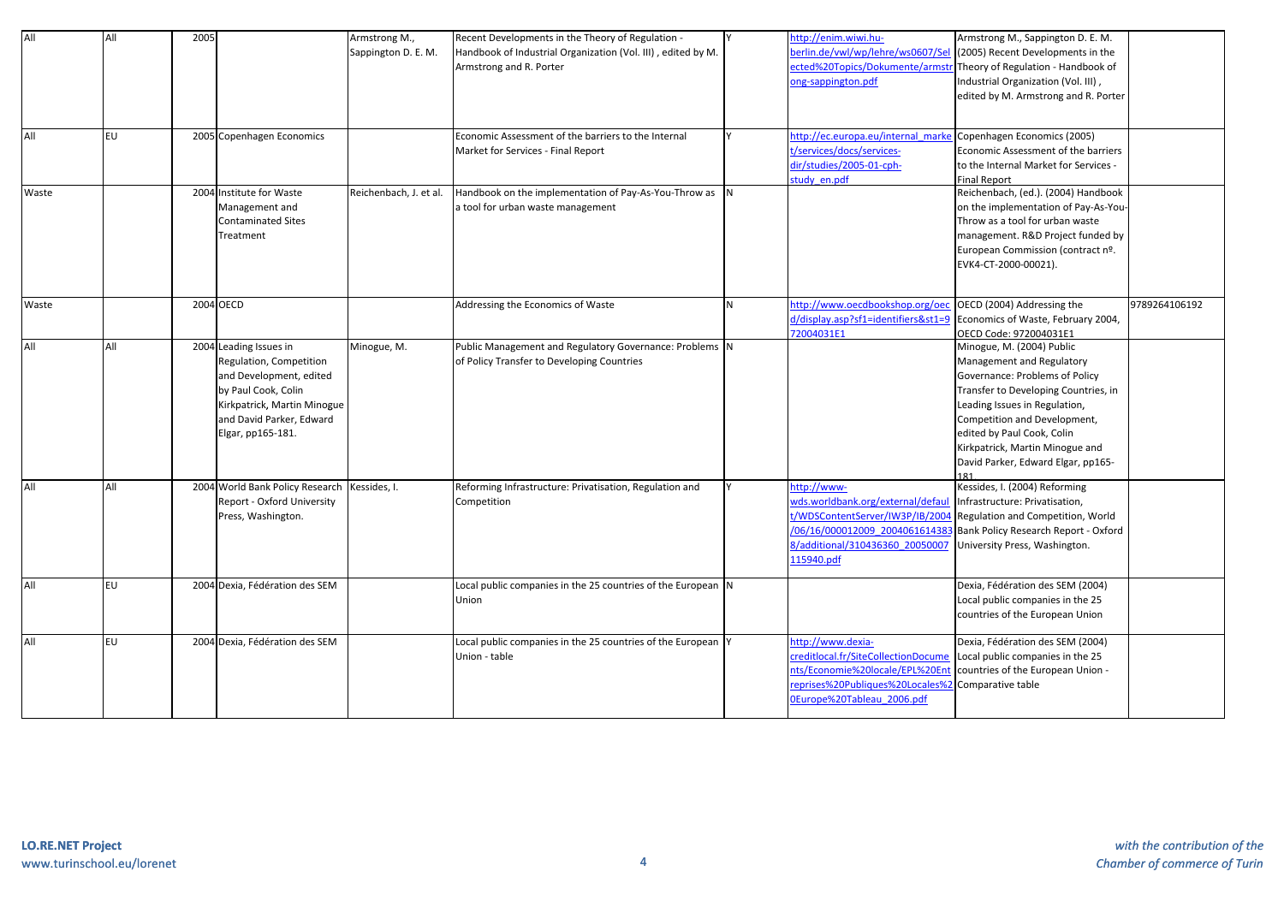| All        | All | 2005      |                                                                                                                                                                                     | Armstrong M.,<br>Sappington D. E. M. | Recent Developments in the Theory of Regulation -<br>Handbook of Industrial Organization (Vol. III), edited by M.<br>Armstrong and R. Porter |   | http://enim.wiwi.hu-<br>perlin.de/vwl/wp/lehre/ws0607/Sel<br>cted%20Topics/Dokumente/arms                                                                       | Armstrong M., Sappington D. E. M.<br>(2005) Recent Developments in the<br>Theory of Regulation - Handbook of                                                                                                                                                                                             |               |
|------------|-----|-----------|-------------------------------------------------------------------------------------------------------------------------------------------------------------------------------------|--------------------------------------|----------------------------------------------------------------------------------------------------------------------------------------------|---|-----------------------------------------------------------------------------------------------------------------------------------------------------------------|----------------------------------------------------------------------------------------------------------------------------------------------------------------------------------------------------------------------------------------------------------------------------------------------------------|---------------|
|            |     |           |                                                                                                                                                                                     |                                      |                                                                                                                                              |   | ong-sappington.pdf                                                                                                                                              | Industrial Organization (Vol. III),<br>edited by M. Armstrong and R. Porter                                                                                                                                                                                                                              |               |
| <b>AII</b> | EU. |           | 2005 Copenhagen Economics                                                                                                                                                           |                                      | Economic Assessment of the barriers to the Internal<br>Market for Services - Final Report                                                    |   | http://ec.europa.eu/internal marke<br>:/services/docs/services-<br>dir/studies/2005-01-cph-<br>study en.pdf                                                     | Copenhagen Economics (2005)<br>Economic Assessment of the barriers<br>to the Internal Market for Services -<br><b>Final Report</b>                                                                                                                                                                       |               |
| Waste      |     |           | 2004 Institute for Waste<br>Management and<br><b>Contaminated Sites</b><br>Treatment                                                                                                | Reichenbach, J. et al.               | Handbook on the implementation of Pay-As-You-Throw as N<br>a tool for urban waste management                                                 |   |                                                                                                                                                                 | Reichenbach, (ed.). (2004) Handbook<br>on the implementation of Pay-As-You-<br>Throw as a tool for urban waste<br>management. R&D Project funded by<br>European Commission (contract nº.<br>EVK4-CT-2000-00021).                                                                                         |               |
| Waste      |     | 2004 OECD |                                                                                                                                                                                     |                                      | Addressing the Economics of Waste                                                                                                            | N | ittp://www.oecdbookshop.org/oeo<br>d/display.asp?sf1=identifiers&st1=9<br>72004031E1                                                                            | OECD (2004) Addressing the<br>Economics of Waste, February 2004,<br>OECD Code: 972004031E1                                                                                                                                                                                                               | 9789264106192 |
| All        | All |           | 2004 Leading Issues in<br>Regulation, Competition<br>and Development, edited<br>by Paul Cook, Colin<br>Kirkpatrick, Martin Minogue<br>and David Parker, Edward<br>Elgar, pp165-181. | Minogue, M.                          | Public Management and Regulatory Governance: Problems N<br>of Policy Transfer to Developing Countries                                        |   |                                                                                                                                                                 | Minogue, M. (2004) Public<br>Management and Regulatory<br>Governance: Problems of Policy<br>Transfer to Developing Countries, in<br>Leading Issues in Regulation,<br>Competition and Development,<br>edited by Paul Cook, Colin<br>Kirkpatrick, Martin Minogue and<br>David Parker, Edward Elgar, pp165- |               |
| All        | All |           | 2004 World Bank Policy Research<br>Report - Oxford University<br>Press, Washington.                                                                                                 | Kessides, I.                         | Reforming Infrastructure: Privatisation, Regulation and<br>Competition                                                                       |   | http://www-<br>wds.worldbank.org/external/defau<br>/WDSContentServer/IW3P/IB/200<br>06/16/000012009 200406161438<br>3/additional/310436360 2005000<br>15940.pdf | Kessides, I. (2004) Reforming<br>Infrastructure: Privatisation,<br>Regulation and Competition, World<br>Bank Policy Research Report - Oxford<br>University Press, Washington.                                                                                                                            |               |
| All        | EU  |           | 2004 Dexia, Fédération des SEM                                                                                                                                                      |                                      | Local public companies in the 25 countries of the European $\vert$ N<br>Union                                                                |   |                                                                                                                                                                 | Dexia, Fédération des SEM (2004)<br>Local public companies in the 25<br>countries of the European Union                                                                                                                                                                                                  |               |
| All        | EU  |           | 2004 Dexia, Fédération des SEM                                                                                                                                                      |                                      | Local public companies in the 25 countries of the European Y<br>Union - table                                                                |   | ttp://www.dexia-<br>reditlocal.fr/SiteCollectionDocume<br>nts/Economie%20locale/EPL%20En<br>eprises%20Publiques%20Locales%<br>Europe%20Tableau 2006.pdf         | Dexia, Fédération des SEM (2004)<br>Local public companies in the 25<br>countries of the European Union -<br>Comparative table                                                                                                                                                                           |               |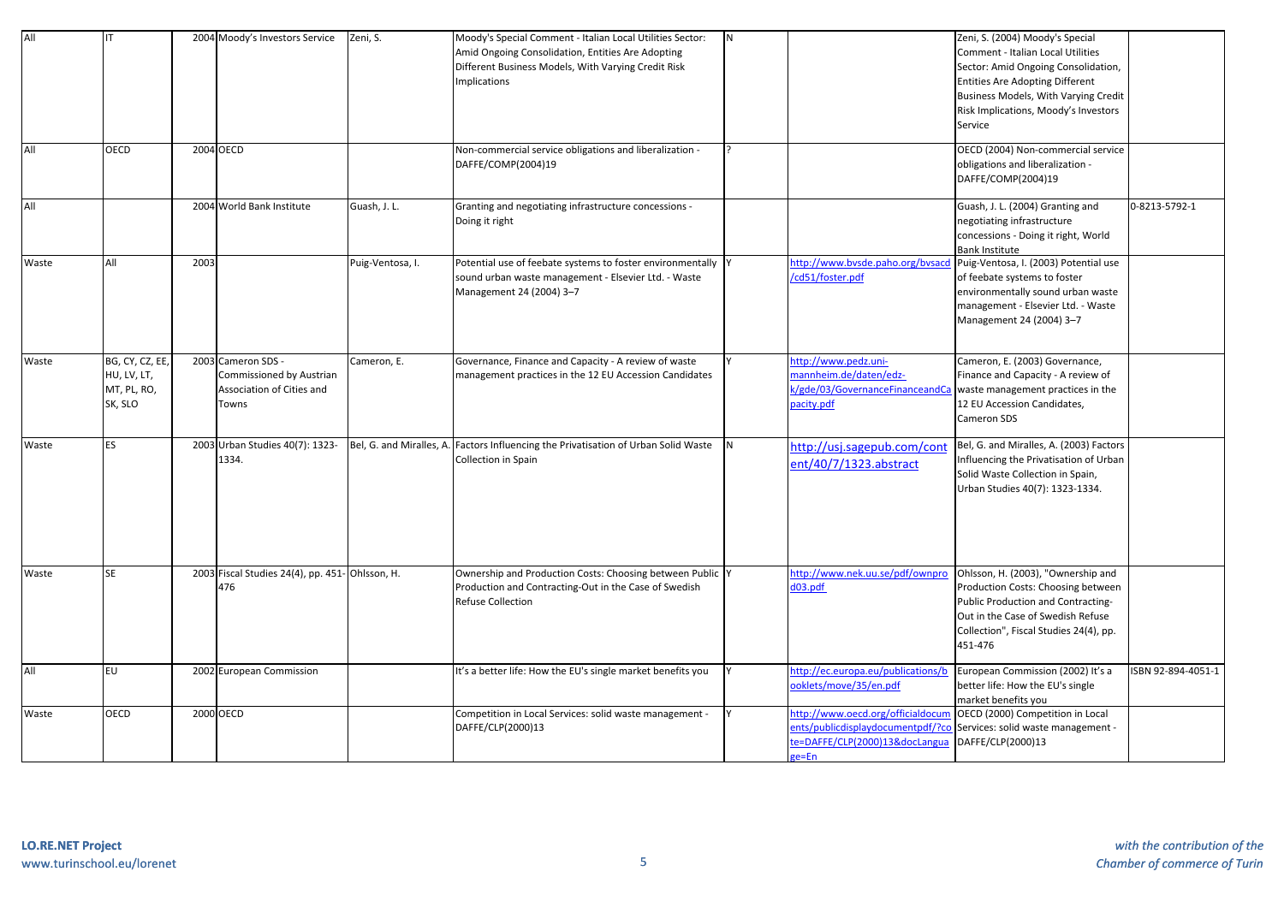| All<br>All | OECD                                                     |      | 2004 Moody's Investors Service<br>2004 OECD                                          | Zeni, S.         | Moody's Special Comment - Italian Local Utilities Sector:<br>Amid Ongoing Consolidation, Entities Are Adopting<br>Different Business Models, With Varying Credit Risk<br><b>Implications</b><br>Non-commercial service obligations and liberalization - | N |                                                                                                                     | Zeni, S. (2004) Moody's Special<br>Comment - Italian Local Utilities<br>Sector: Amid Ongoing Consolidation,<br><b>Entities Are Adopting Different</b><br>Business Models, With Varying Credit<br>Risk Implications, Moody's Investors<br>Service<br>OECD (2004) Non-commercial service |                    |
|------------|----------------------------------------------------------|------|--------------------------------------------------------------------------------------|------------------|---------------------------------------------------------------------------------------------------------------------------------------------------------------------------------------------------------------------------------------------------------|---|---------------------------------------------------------------------------------------------------------------------|----------------------------------------------------------------------------------------------------------------------------------------------------------------------------------------------------------------------------------------------------------------------------------------|--------------------|
|            |                                                          |      |                                                                                      |                  | DAFFE/COMP(2004)19                                                                                                                                                                                                                                      |   |                                                                                                                     | obligations and liberalization -<br>DAFFE/COMP(2004)19                                                                                                                                                                                                                                 |                    |
| All        |                                                          |      | 2004 World Bank Institute                                                            | Guash, J. L.     | Granting and negotiating infrastructure concessions -<br>Doing it right                                                                                                                                                                                 |   |                                                                                                                     | Guash, J. L. (2004) Granting and<br>negotiating infrastructure<br>concessions - Doing it right, World<br><b>Bank Institute</b>                                                                                                                                                         | 0-8213-5792-1      |
| Waste      | All                                                      | 2003 |                                                                                      | Puig-Ventosa, I. | Potential use of feebate systems to foster environmentally<br>sound urban waste management - Elsevier Ltd. - Waste<br>Management 24 (2004) 3-7                                                                                                          |   | http://www.bysde.paho.org/bysacc<br>cd51/foster.pdf                                                                 | Puig-Ventosa, I. (2003) Potential use<br>of feebate systems to foster<br>environmentally sound urban waste<br>management - Elsevier Ltd. - Waste<br>Management 24 (2004) 3-7                                                                                                           |                    |
| Waste      | BG, CY, CZ, EE,<br>HU, LV, LT,<br>MT, PL, RO,<br>SK, SLO |      | 2003 Cameron SDS -<br>Commissioned by Austrian<br>Association of Cities and<br>Towns | Cameron, E.      | Governance, Finance and Capacity - A review of waste<br>management practices in the 12 EU Accession Candidates                                                                                                                                          |   | http://www.pedz.uni-<br>mannheim.de/daten/edz-<br>k/gde/03/GovernanceFinanceandCa<br>pacity.pdf                     | Cameron, E. (2003) Governance,<br>Finance and Capacity - A review of<br>waste management practices in the<br>12 EU Accession Candidates,<br>Cameron SDS                                                                                                                                |                    |
| Waste      | <b>ES</b>                                                |      | 2003 Urban Studies 40(7): 1323-<br>1334.                                             |                  | Bel, G. and Miralles, A. Factors Influencing the Privatisation of Urban Solid Waste<br>Collection in Spain                                                                                                                                              |   | http://usj.sagepub.com/cont<br>ent/40/7/1323.abstract                                                               | Bel, G. and Miralles, A. (2003) Factors<br>Influencing the Privatisation of Urban<br>Solid Waste Collection in Spain,<br>Urban Studies 40(7): 1323-1334.                                                                                                                               |                    |
| Waste      | <b>SE</b>                                                |      | 2003 Fiscal Studies 24(4), pp. 451- Ohlsson, H.<br>476                               |                  | Ownership and Production Costs: Choosing between Public Y<br>Production and Contracting-Out in the Case of Swedish<br>Refuse Collection                                                                                                                 |   | http://www.nek.uu.se/pdf/ownpro<br>Hog.EOb                                                                          | Ohlsson, H. (2003), "Ownership and<br>Production Costs: Choosing between<br>Public Production and Contracting-<br>Out in the Case of Swedish Refuse<br>Collection", Fiscal Studies 24(4), pp.<br>451-476                                                                               |                    |
| All        | EU                                                       |      | 2002 European Commission                                                             |                  | It's a better life: How the EU's single market benefits you                                                                                                                                                                                             |   | http://ec.europa.eu/publications/b<br>oklets/move/35/en.pdf                                                         | European Commission (2002) It's a<br>better life: How the EU's single<br>market benefits you                                                                                                                                                                                           | ISBN 92-894-4051-1 |
| Waste      | OECD                                                     |      | 2000 OECD                                                                            |                  | Competition in Local Services: solid waste management -<br>DAFFE/CLP(2000)13                                                                                                                                                                            |   | ttp://www.oecd.org/officialdocum<br>ents/publicdisplaydocumentpdf/?co<br>e=DAFFE/CLP(2000)13&docLangua<br>$ne = En$ | OECD (2000) Competition in Local<br>Services: solid waste management -<br>DAFFE/CLP(2000)13                                                                                                                                                                                            |                    |